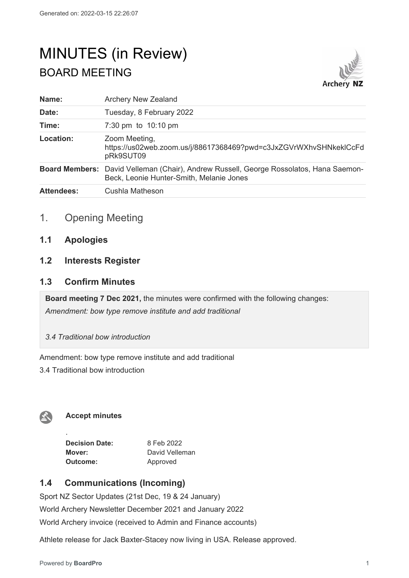# MINUTES (in Review) BOARD MEETING



| Name:             | <b>Archery New Zealand</b>                                                                                                                |
|-------------------|-------------------------------------------------------------------------------------------------------------------------------------------|
| Date:             | Tuesday, 8 February 2022                                                                                                                  |
| Time:             | 7:30 pm to $10:10$ pm                                                                                                                     |
| Location:         | Zoom Meeting,<br>https://us02web.zoom.us/j/88617368469?pwd=c3JxZGVrWXhvSHNkeklCcFd<br>pRk9SUT09                                           |
|                   | <b>Board Members:</b> David Velleman (Chair), Andrew Russell, George Rossolatos, Hana Saemon-<br>Beck, Leonie Hunter-Smith, Melanie Jones |
| <b>Attendees:</b> | Cushla Matheson                                                                                                                           |

# 1. Opening Meeting

**1.1 Apologies**

# **1.2 Interests Register**

# **1.3 Confirm Minutes**

**Board meeting 7 Dec 2021,** the minutes were confirmed with the following changes: *Amendment: bow type remove institute and add traditional*

*3.4 Traditional bow introduction*

Amendment: bow type remove institute and add traditional

3.4 Traditional bow introduction



.

## **Accept minutes**

**Decision Date:** 8 Feb 2022 **Mover:** David Velleman **Outcome:** Approved

# **1.4 Communications (Incoming)**

Sport NZ Sector Updates (21st Dec, 19 & 24 January) World Archery Newsletter December 2021 and January 2022 World Archery invoice (received to Admin and Finance accounts)

Athlete release for Jack Baxter-Stacey now living in USA. Release approved.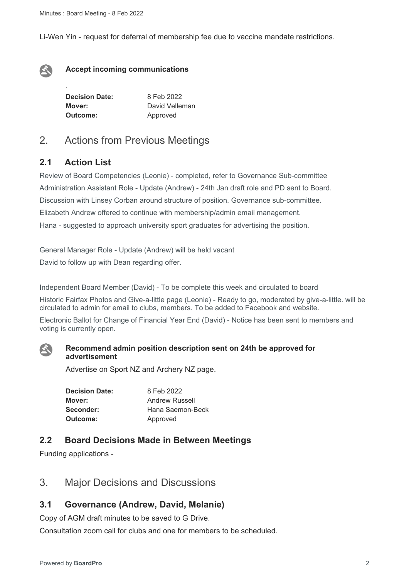Li-Wen Yin - request for deferral of membership fee due to vaccine mandate restrictions.



.

#### **Accept incoming communications**

| <b>Decision Date:</b> | 8 Feb 2022     |
|-----------------------|----------------|
| Mover:                | David Velleman |
| Outcome:              | Approved       |

# 2. Actions from Previous Meetings

# **2.1 Action List**

Review of Board Competencies (Leonie) - completed, refer to Governance Sub-committee Administration Assistant Role - Update (Andrew) - 24th Jan draft role and PD sent to Board. Discussion with Linsey Corban around structure of position. Governance sub-committee. Elizabeth Andrew offered to continue with membership/admin email management. Hana - suggested to approach university sport graduates for advertising the position.

General Manager Role - Update (Andrew) will be held vacant David to follow up with Dean regarding offer.

Independent Board Member (David) - To be complete this week and circulated to board

Historic Fairfax Photos and Give-a-little page (Leonie) - Ready to go, moderated by give-a-little. will be circulated to admin for email to clubs, members. To be added to Facebook and website.

Electronic Ballot for Change of Financial Year End (David) - Notice has been sent to members and voting is currently open.



#### **Recommend admin position description sent on 24th be approved for advertisement**

Advertise on Sport NZ and Archery NZ page.

| <b>Decision Date:</b> | 8 Feb 2022            |
|-----------------------|-----------------------|
| Mover:                | <b>Andrew Russell</b> |
| Seconder:             | Hana Saemon-Beck      |
| Outcome:              | Approved              |

# **2.2 Board Decisions Made in Between Meetings**

Funding applications -

# 3. Major Decisions and Discussions

# **3.1 Governance (Andrew, David, Melanie)**

Copy of AGM draft minutes to be saved to G Drive.

Consultation zoom call for clubs and one for members to be scheduled.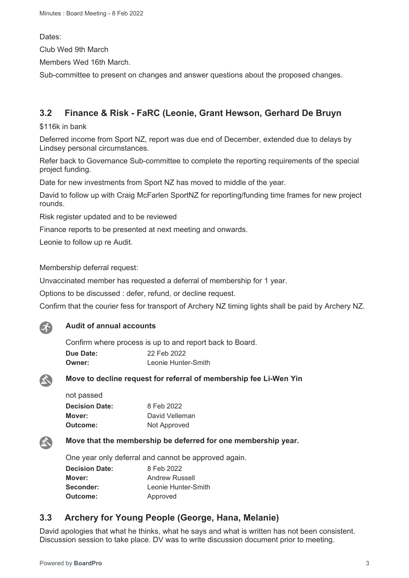Dates:

Club Wed 9th March

Members Wed 16th March.

Sub-committee to present on changes and answer questions about the proposed changes.

# **3.2 Finance & Risk - FaRC (Leonie, Grant Hewson, Gerhard De Bruyn**

\$116k in bank

Deferred income from Sport NZ, report was due end of December, extended due to delays by Lindsey personal circumstances.

Refer back to Governance Sub-committee to complete the reporting requirements of the special project funding.

Date for new investments from Sport NZ has moved to middle of the year.

David to follow up with Craig McFarlen SportNZ for reporting/funding time frames for new project rounds.

Risk register updated and to be reviewed

Finance reports to be presented at next meeting and onwards.

Leonie to follow up re Audit.

Membership deferral request:

Unvaccinated member has requested a deferral of membership for 1 year.

Options to be discussed : defer, refund, or decline request.

Confirm that the courier fess for transport of Archery NZ timing lights shall be paid by Archery NZ.



#### **Audit of annual accounts**

Confirm where process is up to and report back to Board. **Due Date:** 22 Feb 2022 **Owner:** Leonie Hunter-Smith



公

#### **Move to decline request for referral of membership fee Li-Wen Yin**

| not passed            |                |
|-----------------------|----------------|
| <b>Decision Date:</b> | 8 Feb 2022     |
| Mover:                | David Velleman |
| Outcome:              | Not Approved   |

#### **Move that the membership be deferred for one membership year.**

One year only deferral and cannot be approved again.

| <b>Decision Date:</b> | 8 Feb 2022          |
|-----------------------|---------------------|
| Mover:                | Andrew Russell      |
| Seconder:             | Leonie Hunter-Smith |
| <b>Outcome:</b>       | Approved            |

# **3.3 Archery for Young People (George, Hana, Melanie)**

David apologies that what he thinks, what he says and what is written has not been consistent. Discussion session to take place. DV was to write discussion document prior to meeting.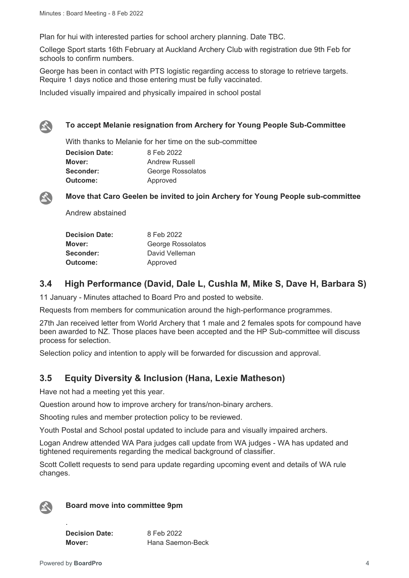Plan for hui with interested parties for school archery planning. Date TBC.

College Sport starts 16th February at Auckland Archery Club with registration due 9th Feb for schools to confirm numbers.

George has been in contact with PTS logistic regarding access to storage to retrieve targets. Require 1 days notice and those entering must be fully vaccinated.

Included visually impaired and physically impaired in school postal



#### **To accept Melanie resignation from Archery for Young People Sub-Committee**

With thanks to Melanie for her time on the sub-committee **Decision Date:** 8 Feb 2022 **Mover:** Andrew Russell **Seconder: George Rossolatos Outcome:** Approved



**Move that Caro Geelen be invited to join Archery for Young People sub-committee**

Andrew abstained

| <b>Decision Date:</b> | 8 Feb 2022        |
|-----------------------|-------------------|
| Mover:                | George Rossolatos |
| Seconder:             | David Velleman    |
| Outcome:              | Approved          |

# **3.4 High Performance (David, Dale L, Cushla M, Mike S, Dave H, Barbara S)**

11 January - Minutes attached to Board Pro and posted to website.

Requests from members for communication around the high-performance programmes.

27th Jan received letter from World Archery that 1 male and 2 females spots for compound have been awarded to NZ. Those places have been accepted and the HP Sub-committee will discuss process for selection.

Selection policy and intention to apply will be forwarded for discussion and approval.

# **3.5 Equity Diversity & Inclusion (Hana, Lexie Matheson)**

Have not had a meeting yet this year.

Question around how to improve archery for trans/non-binary archers.

Shooting rules and member protection policy to be reviewed.

Youth Postal and School postal updated to include para and visually impaired archers.

Logan Andrew attended WA Para judges call update from WA judges - WA has updated and tightened requirements regarding the medical background of classifier.

Scott Collett requests to send para update regarding upcoming event and details of WA rule changes.



#### **Board move into committee 9pm**

**Decision Date:** 8 Feb 2022 **Mover:** Hana Saemon-Beck

.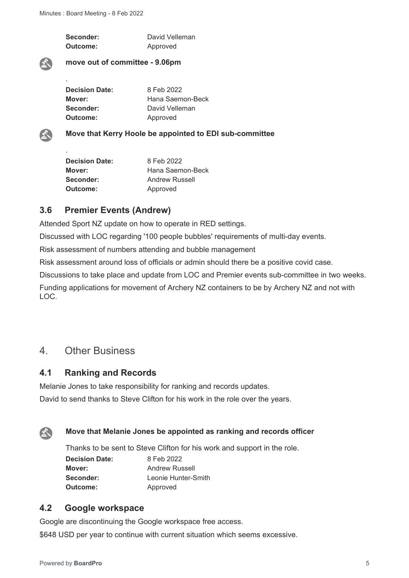Seconder: David Velleman **Outcome:** Approved

#### **move out of committee - 9.06pm**

| <b>Decision Date:</b> | 8 Feb 2022       |
|-----------------------|------------------|
| Mover:                | Hana Saemon-Beck |
| Seconder:             | David Velleman   |
| Outcome:              | Approved         |



.

.

**Move that Kerry Hoole be appointed to EDI sub-committee**

| 8 Feb 2022            |
|-----------------------|
| Hana Saemon-Beck      |
| <b>Andrew Russell</b> |
| Approved              |
|                       |

## **3.6 Premier Events (Andrew)**

Attended Sport NZ update on how to operate in RED settings.

Discussed with LOC regarding '100 people bubbles' requirements of multi-day events.

Risk assessment of numbers attending and bubble management

Risk assessment around loss of officials or admin should there be a positive covid case.

Discussions to take place and update from LOC and Premier events sub-committee in two weeks.

Funding applications for movement of Archery NZ containers to be by Archery NZ and not with LOC.

# 4. Other Business

## **4.1 Ranking and Records**

Melanie Jones to take responsibility for ranking and records updates. David to send thanks to Steve Clifton for his work in the role over the years.



#### **Move that Melanie Jones be appointed as ranking and records officer**

Thanks to be sent to Steve Clifton for his work and support in the role.

**Decision Date:** 8 Feb 2022 **Outcome:** Approved

**Mover:** Andrew Russell **Seconder:** Leonie Hunter-Smith

# **4.2 Google workspace**

Google are discontinuing the Google workspace free access.

\$648 USD per year to continue with current situation which seems excessive.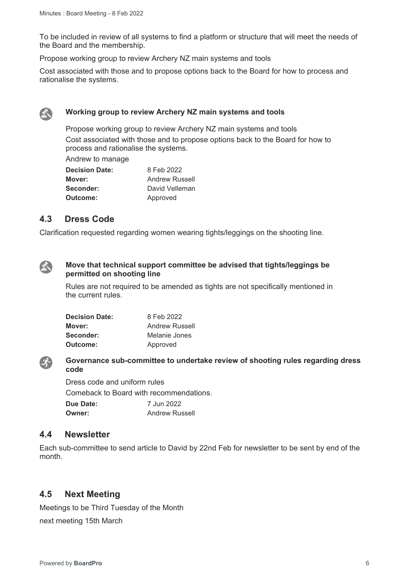To be included in review of all systems to find a platform or structure that will meet the needs of the Board and the membership.

Propose working group to review Archery NZ main systems and tools

Cost associated with those and to propose options back to the Board for how to process and rationalise the systems.



#### **Working group to review Archery NZ main systems and tools**

Propose working group to review Archery NZ main systems and tools Cost associated with those and to propose options back to the Board for how to process and rationalise the systems.

Andrew to manage

| <b>Decision Date:</b> | 8 Feb 2022            |
|-----------------------|-----------------------|
| Mover:                | <b>Andrew Russell</b> |
| Seconder:             | David Velleman        |
| Outcome:              | Approved              |

## **4.3 Dress Code**

Clarification requested regarding women wearing tights/leggings on the shooting line.



#### **Move that technical support committee be advised that tights/leggings be permitted on shooting line**

Rules are not required to be amended as tights are not specifically mentioned in the current rules.

| <b>Decision Date:</b> | 8 Feb 2022     |
|-----------------------|----------------|
| Mover:                | Andrew Russell |
| Seconder:             | Melanie Jones  |
| Outcome:              | Approved       |



#### **Governance sub-committee to undertake review of shooting rules regarding dress code**

Dress code and uniform rules Comeback to Board with recommendations. **Due Date:** 7 Jun 2022 **Owner:** Andrew Russell

#### **4.4 Newsletter**

Each sub-committee to send article to David by 22nd Feb for newsletter to be sent by end of the month.

## **4.5 Next Meeting**

Meetings to be Third Tuesday of the Month next meeting 15th March